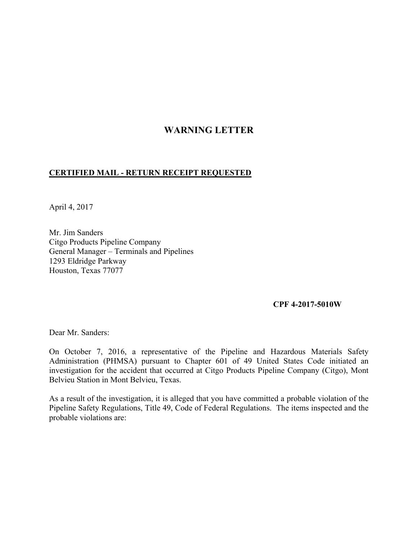# **WARNING LETTER**

### **CERTIFIED MAIL - RETURN RECEIPT REQUESTED**

April 4, 2017

Mr. Jim Sanders Citgo Products Pipeline Company General Manager – Terminals and Pipelines 1293 Eldridge Parkway Houston, Texas 77077

#### **CPF 4-2017-5010W**

Dear Mr. Sanders:

On October 7, 2016, a representative of the Pipeline and Hazardous Materials Safety Administration (PHMSA) pursuant to Chapter 601 of 49 United States Code initiated an investigation for the accident that occurred at Citgo Products Pipeline Company (Citgo), Mont Belvieu Station in Mont Belvieu, Texas.

As a result of the investigation, it is alleged that you have committed a probable violation of the Pipeline Safety Regulations, Title 49, Code of Federal Regulations. The items inspected and the probable violations are: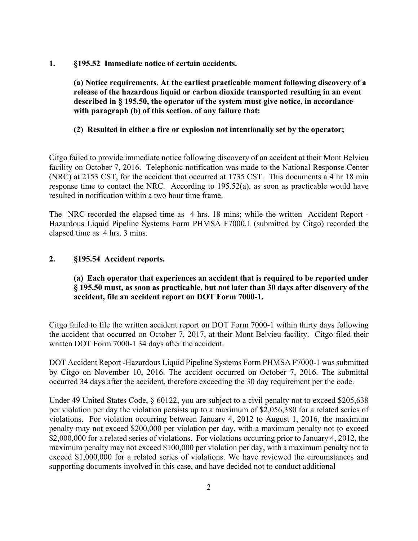**1. §195.52 Immediate notice of certain accidents.** 

**(a) Notice requirements. At the earliest practicable moment following discovery of a release of the hazardous liquid or carbon dioxide transported resulting in an event described in § 195.50, the operator of the system must give notice, in accordance with paragraph (b) of this section, of any failure that:** 

# **(2) Resulted in either a fire or explosion not intentionally set by the operator;**

Citgo failed to provide immediate notice following discovery of an accident at their Mont Belvieu facility on October 7, 2016. Telephonic notification was made to the National Response Center (NRC) at 2153 CST, for the accident that occurred at 1735 CST. This documents a 4 hr 18 min response time to contact the NRC. According to 195.52(a), as soon as practicable would have resulted in notification within a two hour time frame.

The NRC recorded the elapsed time as 4 hrs. 18 mins; while the written Accident Report - Hazardous Liquid Pipeline Systems Form PHMSA F7000.1 (submitted by Citgo) recorded the elapsed time as 4 hrs. 3 mins.

### **2. §195.54 Accident reports.**

# **(a) Each operator that experiences an accident that is required to be reported under § 195.50 must, as soon as practicable, but not later than 30 days after discovery of the accident, file an accident report on DOT Form 7000-1.**

Citgo failed to file the written accident report on DOT Form 7000-1 within thirty days following the accident that occurred on October 7, 2017, at their Mont Belvieu facility. Citgo filed their written DOT Form 7000-1 34 days after the accident.

DOT Accident Report -Hazardous Liquid Pipeline Systems Form PHMSA F7000-1 was submitted by Citgo on November 10, 2016. The accident occurred on October 7, 2016. The submittal occurred 34 days after the accident, therefore exceeding the 30 day requirement per the code.

Under 49 United States Code, § 60122, you are subject to a civil penalty not to exceed \$205,638 per violation per day the violation persists up to a maximum of \$2,056,380 for a related series of violations. For violation occurring between January 4, 2012 to August 1, 2016, the maximum penalty may not exceed \$200,000 per violation per day, with a maximum penalty not to exceed \$2,000,000 for a related series of violations. For violations occurring prior to January 4, 2012, the maximum penalty may not exceed \$100,000 per violation per day, with a maximum penalty not to exceed \$1,000,000 for a related series of violations. We have reviewed the circumstances and supporting documents involved in this case, and have decided not to conduct additional